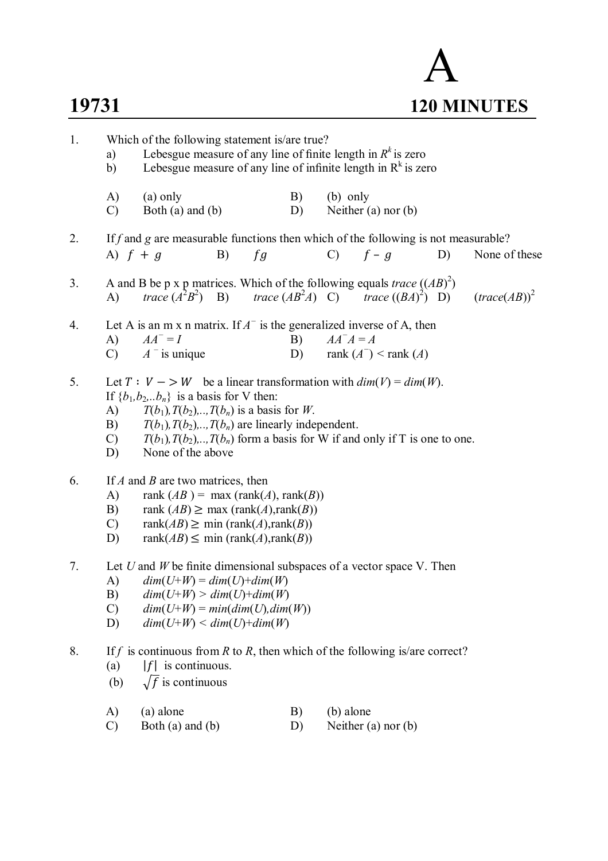

| 1. | a)<br>b)                                                                                                                                                                                                                                                                                                                                                                                | Which of the following statement is/are true?<br>Lebesgue measure of any line of finite length in $R^k$ is zero<br>Lebesgue measure of any line of infinite length in $R^k$ is zero |    |    |          |               |                           |    |                                   |
|----|-----------------------------------------------------------------------------------------------------------------------------------------------------------------------------------------------------------------------------------------------------------------------------------------------------------------------------------------------------------------------------------------|-------------------------------------------------------------------------------------------------------------------------------------------------------------------------------------|----|----|----------|---------------|---------------------------|----|-----------------------------------|
|    | A)<br>$\mathcal{C}$                                                                                                                                                                                                                                                                                                                                                                     | (a) only<br>Both $(a)$ and $(b)$                                                                                                                                                    |    |    | B)<br>D) | $(b)$ only    | Neither $(a)$ nor $(b)$   |    |                                   |
| 2. | A) $f + g$                                                                                                                                                                                                                                                                                                                                                                              | If f and g are measurable functions then which of the following is not measurable?                                                                                                  | B) | fg |          | $\mathbf{C}$  | $f-g$                     | D) | None of these                     |
| 3. | $\mathbf{A}$                                                                                                                                                                                                                                                                                                                                                                            | A and B be p x p matrices. Which of the following equals <i>trace</i> $((AB)^2)$<br><i>trace</i> $(A^{2}B^{2})$ B) <i>trace</i> $(AB^{2}A)$ C) <i>trace</i> $((BA)^{2})$ D)         |    |    |          |               |                           |    | $\left(\text{trace}(AB)\right)^2$ |
| 4. | A)<br>$\mathcal{C}$                                                                                                                                                                                                                                                                                                                                                                     | Let A is an m x n matrix. If $A^-$ is the generalized inverse of A, then<br>$AA^- = I$<br>$A^-$ is unique                                                                           |    |    | B)<br>D) | $AA^{-}A = A$ | rank $(A^-)$ < rank $(A)$ |    |                                   |
| 5. | Let $T: V \to W$ be a linear transformation with $dim(V) = dim(W)$ .<br>If ${b_1, b_2, \ldots, b_n}$ is a basis for V then:<br>$T(b_1), T(b_2), \ldots, T(b_n)$ is a basis for W.<br>A)<br>$T(b_1), T(b_2), \ldots, T(b_n)$ are linearly independent.<br>B)<br>$T(b_1), T(b_2),, T(b_n)$ form a basis for W if and only if T is one to one.<br>$\mathcal{C}$<br>None of the above<br>D) |                                                                                                                                                                                     |    |    |          |               |                           |    |                                   |
| 6. | If $A$ and $B$ are two matrices, then<br>rank $(AB)$ = max (rank $(A)$ , rank $(B)$ )<br>A)<br>B)<br>rank $(AB) \geq max (rank(A), rank(B))$<br>rank $(AB) \ge$ min (rank $(A)$ , rank $(B)$ )<br>$\mathcal{C}$<br>rank $(AB) \leq$ min (rank $(A)$ , rank $(B)$ )<br>D)                                                                                                                |                                                                                                                                                                                     |    |    |          |               |                           |    |                                   |
| 7. | Let $U$ and $W$ be finite dimensional subspaces of a vector space V. Then<br>$dim(U+W) = dim(U)+dim(W)$<br>A)<br>B)<br>$dim(U+W) > dim(U)+dim(W)$<br>$dim(U+W) = min(dim(U),dim(W))$<br>$\mathcal{C}$<br>$dim(U+W) \leq dim(U)+dim(W)$<br>D)                                                                                                                                            |                                                                                                                                                                                     |    |    |          |               |                           |    |                                   |
| 8. | (a)<br>(b)                                                                                                                                                                                                                                                                                                                                                                              | If f is continuous from R to R, then which of the following is/are correct?<br>$ f $ is continuous.<br>$\sqrt{f}$ is continuous                                                     |    |    |          |               |                           |    |                                   |
|    | A)                                                                                                                                                                                                                                                                                                                                                                                      | (a) alone                                                                                                                                                                           |    |    | B)       | (b) alone     |                           |    |                                   |

 $(C)$  Both (a) and (b)  $D)$  Neither (a) nor (b)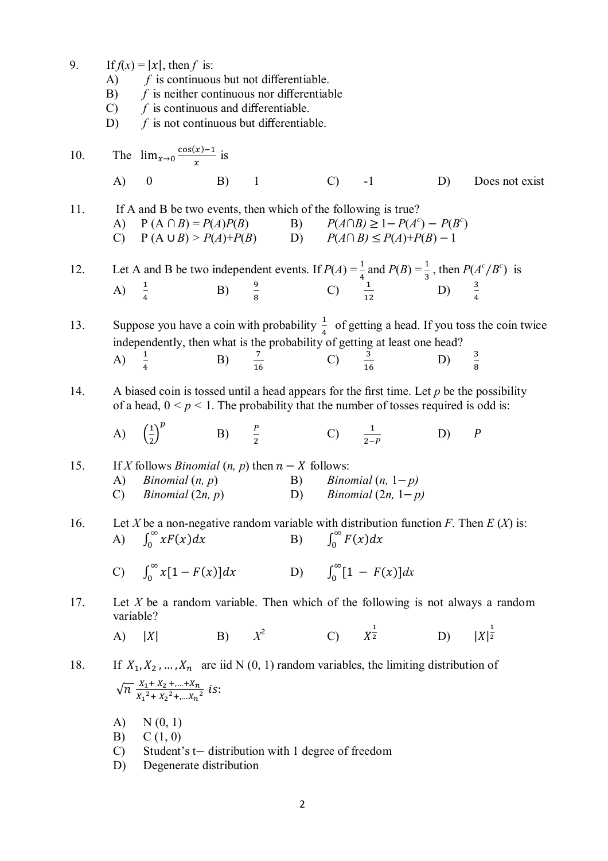9. If  $f(x) = |x|$ , then *f* is:

- A) *f* is continuous but not differentiable.
- B) *f* is neither continuous nor differentiable
- C) *f* is continuous and differentiable.
- D) *f* is not continuous but differentiable.

10. The 
$$
\lim_{x\to 0} \frac{\cos(x)-1}{x}
$$
 is  
\nA) 0 \tB) 1 \tC) -1 D) Does not exist

11. If A and B be two events, then which of the following is true? A)  $P(A ∩ B) = P(A)P(B)$  B)  $\sigma$ <sup>c</sup>) – *P*(*B*<sup>c</sup>) C)  $P(A \cup B) > P(A) + P(B)$  D)  $P(A \cap B) \le P(A) + P(B) - 1$ 

12. Let A and B be two independent events. If  $P(A) = \frac{1}{4}$  $\frac{1}{4}$  and  $P(B) = \frac{1}{3}$  $\frac{1}{3}$ , then  $P(A^c/B^c)$  is A)  $\frac{1}{4}$  B)  $\frac{9}{8}$  C)  $\frac{1}{12}$  D)  $\frac{3}{4}$ 

13. Suppose you have a coin with probability  $\frac{1}{4}$  of getting a head. If you toss the coin twice ସ independently, then what is the probability of getting at least one head? A)  $\frac{1}{4}$  B)  $\frac{7}{16}$  C)  $\frac{3}{16}$  D)  $\frac{3}{8}$  $\frac{3}{8}$ 

14. A biased coin is tossed until a head appears for the first time. Let *p* be the possibility of a head,  $0 \le p \le 1$ . The probability that the number of tosses required is odd is:

A) 
$$
\left(\frac{1}{2}\right)^p
$$

$$
\frac{P}{2} \qquad \qquad \text{C)} \qquad \frac{1}{2-P} \qquad \qquad \text{D)} \qquad P
$$

15. If *X* follows *Binomial* 
$$
(n, p)
$$
 then  $n - X$  follows:  
\nA) *Binomial*  $(n, p)$   
\nB) *Binomial*  $(n, 1-p)$   
\nC) *Binomial*  $(2n, p)$   
\nD) *Binomial*  $(2n, 1-p)$ 

B)

16. Let *X* be a non-negative random variable with distribution function *F*. Then *E* (*X*) is:<br>
A)  $\int_0^\infty xF(x)dx$  B)  $\int_0^\infty F(x)dx$ B)  $\int_0^\infty F(x) dx$ 

C) 
$$
\int_0^\infty x[1 - F(x)]dx
$$
 D)  $\int_0^\infty [1 - F(x)]dx$ 

17. Let *X* be a random variable. Then which of the following is not always a random variable?

A) 
$$
|X|
$$
 B)  $X^2$  C)  $X^{\frac{1}{2}}$  D)  $|X|^{\frac{1}{2}}$ 

## 18. If  $X_1, X_2, ..., X_n$  are iid N (0, 1) random variables, the limiting distribution of  $\sqrt{n} \frac{X_1 + X_2 + ... + X_n}{x_{12} + x_{21}}$  $\frac{X_1 + X_2 + \dots + X_n}{X_1^2 + X_2^2 + \dots + X_n^2}$  is:

- A)  $N(0, 1)$
- $B)$   $C(1, 0)$
- C) Student's t− distribution with 1 degree of freedom
- D) Degenerate distribution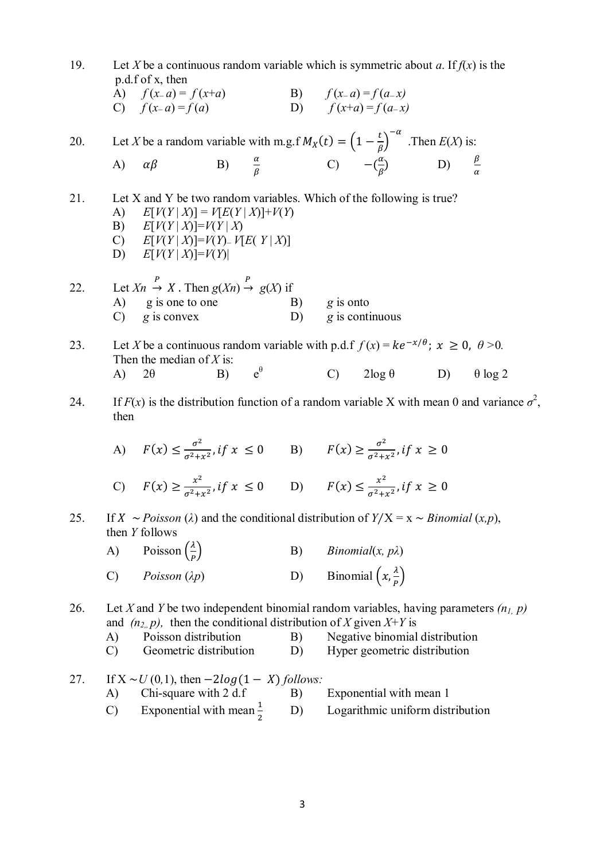| 19. | Let X be a continuous random variable which is symmetric about a. If $f(x)$ is the<br>p.d.f of x, then |                                                                                                                                                                                                                    |    |              |                        |  |                                                                                  |  |                |  |
|-----|--------------------------------------------------------------------------------------------------------|--------------------------------------------------------------------------------------------------------------------------------------------------------------------------------------------------------------------|----|--------------|------------------------|--|----------------------------------------------------------------------------------|--|----------------|--|
|     |                                                                                                        | A) $f(x-a) = f(x+a)$ B) $f(x-a) = f(a-x)$<br>C) $f(x-a) = f(a)$                                                                                                                                                    |    |              |                        |  | D) $f(x+a) = f(a-x)$                                                             |  |                |  |
|     |                                                                                                        |                                                                                                                                                                                                                    |    |              |                        |  |                                                                                  |  |                |  |
| 20. |                                                                                                        | Let X be a random variable with m.g. $f M_X(t) = \left(1 - \frac{t}{\beta}\right)^{-\alpha}$ . Then $E(X)$ is:                                                                                                     |    |              |                        |  |                                                                                  |  |                |  |
|     | A)                                                                                                     | $\alpha\beta$                                                                                                                                                                                                      |    |              |                        |  | B) $\frac{\alpha}{\beta}$ C) $-(\frac{\alpha}{\beta})$ D) $\frac{\beta}{\alpha}$ |  |                |  |
| 21. | A)                                                                                                     | Let X and Y be two random variables. Which of the following is true?<br>$E[V(Y X)] = V[E(Y X)] + V(Y)$<br>B) $E[V(Y X)]=V(Y X)$<br>C) $E[V(Y X)] = V(Y) - V[E(Y X)]$<br>D) $E[V(Y X)]=V(Y)$                        |    |              |                        |  |                                                                                  |  |                |  |
| 22. |                                                                                                        | Let $Xn \xrightarrow{P} X$ . Then $g(Xn) \xrightarrow{P} g(X)$ if                                                                                                                                                  |    |              |                        |  |                                                                                  |  |                |  |
|     |                                                                                                        | A) g is one to one<br>$C$ ) g is convex                                                                                                                                                                            |    |              | $\mathbf{B}$ g is onto |  | $(D)$ g is continuous                                                            |  |                |  |
|     |                                                                                                        |                                                                                                                                                                                                                    |    |              |                        |  |                                                                                  |  |                |  |
| 23. |                                                                                                        | Let X be a continuous random variable with p.d.f $f(x) = ke^{-x/\theta}$ ; $x \ge 0$ , $\theta > 0$ .<br>Then the median of $X$ is:                                                                                |    |              |                        |  |                                                                                  |  |                |  |
|     | A)                                                                                                     | $2\theta$                                                                                                                                                                                                          | B) | $e^{\theta}$ |                        |  | C) $2\log \theta$ D)                                                             |  | $\theta$ log 2 |  |
| 24. | then                                                                                                   | If $F(x)$ is the distribution function of a random variable X with mean 0 and variance $\sigma^2$ ,                                                                                                                |    |              |                        |  |                                                                                  |  |                |  |
|     |                                                                                                        | A) $F(x) \le \frac{\sigma^2}{\sigma^2 + x^2}$ , if $x \le 0$ B) $F(x) \ge \frac{\sigma^2}{\sigma^2 + x^2}$ , if $x \ge 0$                                                                                          |    |              |                        |  |                                                                                  |  |                |  |
|     |                                                                                                        | C) $F(x) \ge \frac{x^2}{\sigma^2 + x^2}$ , if $x \le 0$ D) $F(x) \le \frac{x^2}{\sigma^2 + x^2}$ , if $x \ge 0$                                                                                                    |    |              |                        |  |                                                                                  |  |                |  |
| 25. |                                                                                                        | If X ~ Poisson ( $\lambda$ ) and the conditional distribution of $Y/X = x \sim Binomial(x,p)$ ,<br>then Y follows                                                                                                  |    |              |                        |  |                                                                                  |  |                |  |
|     | A)                                                                                                     | Poisson $\left(\frac{\lambda}{p}\right)$                                                                                                                                                                           |    |              | B)                     |  | <i>Binomial</i> $(x, p\lambda)$                                                  |  |                |  |
|     | $\mathcal{C}$                                                                                          | Poisson $(\lambda p)$                                                                                                                                                                                              |    |              | D)                     |  | Binomial $\left(x, \frac{\lambda}{p}\right)$                                     |  |                |  |
| 26. | A)<br>$\mathcal{C}$                                                                                    | Let X and Y be two independent binomial random variables, having parameters $(n_1, p)$<br>and $(n_{2}, p)$ , then the conditional distribution of X given X+Y is<br>Poisson distribution<br>Geometric distribution |    |              | B)<br>D)               |  | Negative binomial distribution<br>Hyper geometric distribution                   |  |                |  |
| 27. |                                                                                                        | If $X \sim U(0,1)$ , then $-2log(1 - X)$ follows:                                                                                                                                                                  |    |              |                        |  |                                                                                  |  |                |  |
|     | A)<br>$\mathcal{C}$                                                                                    | Chi-square with 2 d.f<br>Exponential with mean $\frac{1}{2}$                                                                                                                                                       |    |              | B)<br>D)               |  | Exponential with mean 1<br>Logarithmic uniform distribution                      |  |                |  |
|     |                                                                                                        |                                                                                                                                                                                                                    |    |              |                        |  |                                                                                  |  |                |  |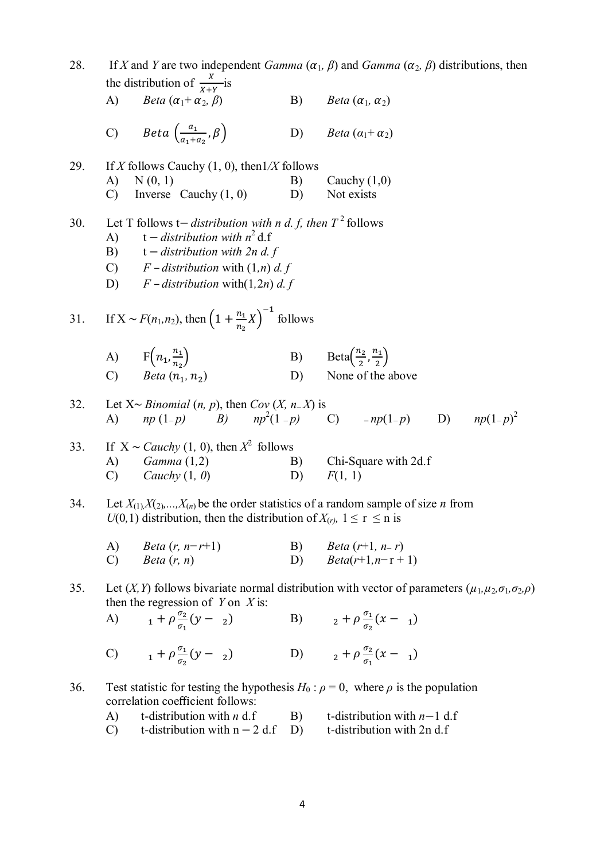| 28.<br>If X and Y are two independent <i>Gamma</i> $(\alpha_1, \beta)$ and <i>Gamma</i> $(\alpha_2, \beta)$ distributions, then<br>the distribution of $\frac{x}{x+y}$ is                |                                                                                 |                                                                                                                                                                                                                                       |          |                                                                                               |  |  |  |  |  |  |  |
|------------------------------------------------------------------------------------------------------------------------------------------------------------------------------------------|---------------------------------------------------------------------------------|---------------------------------------------------------------------------------------------------------------------------------------------------------------------------------------------------------------------------------------|----------|-----------------------------------------------------------------------------------------------|--|--|--|--|--|--|--|
|                                                                                                                                                                                          | A)                                                                              | Beta $(\alpha_1 + \alpha_2, \beta)$                                                                                                                                                                                                   | B)       | <i>Beta</i> $(\alpha_1, \alpha_2)$                                                            |  |  |  |  |  |  |  |
|                                                                                                                                                                                          | $\mathcal{C}$                                                                   | Beta $\left(\frac{a_1}{a_1+a_2},\beta\right)$                                                                                                                                                                                         | D)       | <i>Beta</i> $(\alpha_1 + \alpha_2)$                                                           |  |  |  |  |  |  |  |
| 29.                                                                                                                                                                                      | A)<br>$\mathcal{C}$                                                             | If X follows Cauchy $(1, 0)$ , then $1/X$ follows<br>N(0, 1)<br>Inverse Cauchy $(1, 0)$                                                                                                                                               | B)<br>D) | Cauchy $(1,0)$<br>Not exists                                                                  |  |  |  |  |  |  |  |
| 30.                                                                                                                                                                                      | $\bf{A}$                                                                        | Let T follows t– <i>distribution with n d. f, then</i> $T^2$ follows<br>t – distribution with $n^2$ d.f<br>B) $t$ – distribution with 2n d. f<br>C) $F$ – distribution with $(1,n)$ d. f<br>D) $F$ – distribution with $(1, 2n)$ d. f |          |                                                                                               |  |  |  |  |  |  |  |
| 31.                                                                                                                                                                                      | If $X \sim F(n_1, n_2)$ , then $\left(1 + \frac{n_1}{n_2}X\right)^{-1}$ follows |                                                                                                                                                                                                                                       |          |                                                                                               |  |  |  |  |  |  |  |
|                                                                                                                                                                                          |                                                                                 | A) $F(n_1, \frac{n_1}{n_2})$<br>C) Beta $(n_1, n_2)$                                                                                                                                                                                  | D)       | B) Beta $\left(\frac{n_2}{2}, \frac{n_1}{2}\right)$<br>None of the above                      |  |  |  |  |  |  |  |
| 32.                                                                                                                                                                                      | A)                                                                              | Let $X \sim Binomial(n, p)$ , then $Cov(X, n-X)$ is<br>$np(1-p)$ B)                                                                                                                                                                   |          | $np^2(1-p)$ C) $-np(1-p)$ D) $np(1-p)^2$                                                      |  |  |  |  |  |  |  |
| 33.                                                                                                                                                                                      | A)<br>$\mathcal{C}$                                                             | If $X \sim$ <i>Cauchy</i> (1, 0), then $X^2$ follows<br>Gamma(1,2)<br>Cauchy $(1, 0)$                                                                                                                                                 | B)<br>D) | Chi-Square with 2d.f<br>F(1, 1)                                                               |  |  |  |  |  |  |  |
| Let $X_{(1)}X_{(2)},,X_{(n)}$ be the order statistics of a random sample of size <i>n</i> from<br>34.<br>$U(0, 1)$ distribution, then the distribution of $X_{(r)}$ , $1 \le r \le n$ is |                                                                                 |                                                                                                                                                                                                                                       |          |                                                                                               |  |  |  |  |  |  |  |
|                                                                                                                                                                                          | A)<br>$\mathcal{C}$                                                             | <i>Beta</i> $(r, n-r+1)$<br>Beta $(r, n)$                                                                                                                                                                                             | B)       | <i>Beta</i> $(r+1, n-r)$<br>D) $Beta(r+1, n-r+1)$                                             |  |  |  |  |  |  |  |
| 35.                                                                                                                                                                                      |                                                                                 | Let (X, Y) follows bivariate normal distribution with vector of parameters ( $\mu_1, \mu_2, \sigma_1, \sigma_2, \rho$ )<br>then the regression of $Y$ on $X$ is:                                                                      |          |                                                                                               |  |  |  |  |  |  |  |
|                                                                                                                                                                                          | A)                                                                              | $_1 + \rho \frac{\sigma_2}{\sigma_1} (y - z)$                                                                                                                                                                                         |          | B) $2 + \rho \frac{\sigma_1}{\sigma_2} (x - 1)$                                               |  |  |  |  |  |  |  |
|                                                                                                                                                                                          |                                                                                 | C) $1 + \rho \frac{\sigma_1}{\sigma_2} (y - z)$                                                                                                                                                                                       |          | D) $2 + \rho \frac{\sigma_2}{\sigma_1}(x - 1)$                                                |  |  |  |  |  |  |  |
| 36.                                                                                                                                                                                      |                                                                                 | correlation coefficient follows:                                                                                                                                                                                                      |          | Test statistic for testing the hypothesis $H_0$ : $\rho = 0$ , where $\rho$ is the population |  |  |  |  |  |  |  |
|                                                                                                                                                                                          | A)                                                                              | t-distribution with $n$ d.f                                                                                                                                                                                                           | B)       | t-distribution with $n-1$ d.f                                                                 |  |  |  |  |  |  |  |

C) t-distribution with  $n - 2$  d.f D) t-distribution with 2n d.f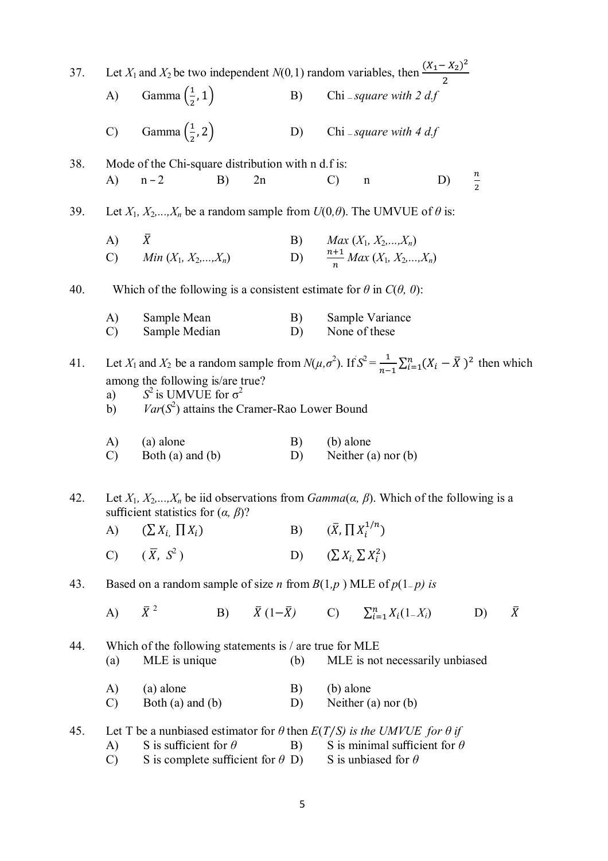| 37. | Let $X_1$ and $X_2$ be two independent $N(0, 1)$ random variables, then $\frac{(X_1 - X_2)^2}{2}$ |                                                                                                                                                                                                                                                                |    |    |          |                                 |                                                                    |    |               |           |  |
|-----|---------------------------------------------------------------------------------------------------|----------------------------------------------------------------------------------------------------------------------------------------------------------------------------------------------------------------------------------------------------------------|----|----|----------|---------------------------------|--------------------------------------------------------------------|----|---------------|-----------|--|
|     |                                                                                                   | A) Gamma $\left(\frac{1}{2}, 1\right)$                                                                                                                                                                                                                         |    |    |          | B) Chi - square with 2 df       |                                                                    |    |               |           |  |
|     | $\mathcal{C}$                                                                                     | Gamma $\left(\frac{1}{2}, 2\right)$                                                                                                                                                                                                                            |    |    |          |                                 | D) Chi - square with $4 df$                                        |    |               |           |  |
| 38. |                                                                                                   | Mode of the Chi-square distribution with n d.f is:                                                                                                                                                                                                             |    |    |          |                                 |                                                                    |    |               |           |  |
|     | A)                                                                                                | $n-2$                                                                                                                                                                                                                                                          | B) | 2n |          | $\mathcal{C}$                   | $\mathbf n$                                                        | D) | $\frac{n}{2}$ |           |  |
| 39. |                                                                                                   | Let $X_1, X_2, \ldots, X_n$ be a random sample from $U(0, \theta)$ . The UMVUE of $\theta$ is:                                                                                                                                                                 |    |    |          |                                 |                                                                    |    |               |           |  |
|     | A) $\bar{X}$                                                                                      |                                                                                                                                                                                                                                                                |    |    |          |                                 | B) $Max(X_1, X_2,,X_n)$                                            |    |               |           |  |
|     |                                                                                                   | C) Min $(X_1, X_2,,X_n)$                                                                                                                                                                                                                                       |    |    |          |                                 | D) $\frac{n+1}{n}$ Max $(X_1, X_2,,X_n)$                           |    |               |           |  |
| 40. | Which of the following is a consistent estimate for $\theta$ in $C(\theta, 0)$ :                  |                                                                                                                                                                                                                                                                |    |    |          |                                 |                                                                    |    |               |           |  |
|     | A)<br>$\mathcal{C}$                                                                               | Sample Mean<br>Sample Median                                                                                                                                                                                                                                   |    |    | B)<br>D) |                                 | Sample Variance<br>None of these                                   |    |               |           |  |
|     |                                                                                                   |                                                                                                                                                                                                                                                                |    |    |          |                                 |                                                                    |    |               |           |  |
| 41. | a)<br>b)                                                                                          | Let $X_1$ and $X_2$ be a random sample from $N(\mu, \sigma^2)$ . If $S^2 = \frac{1}{n-1} \sum_{i=1}^n (X_i - \overline{X})^2$ then which<br>among the following is/are true?<br>$S^2$ is UMVUE for $\sigma^2$<br>$Var(S^2)$ attains the Cramer-Rao Lower Bound |    |    |          |                                 |                                                                    |    |               |           |  |
|     | A)<br>C)                                                                                          | (a) alone<br>Both $(a)$ and $(b)$                                                                                                                                                                                                                              |    |    | B)<br>D) | (b) alone                       | Neither $(a)$ nor $(b)$                                            |    |               |           |  |
| 42. |                                                                                                   | Let $X_1, X_2,,X_n$ be iid observations from $Gamma(\alpha, \beta)$ . Which of the following is a<br>sufficient statistics for $(\alpha, \beta)$ ?                                                                                                             |    |    |          |                                 |                                                                    |    |               |           |  |
|     |                                                                                                   | A) $(\sum X_i, \prod X_i)$                                                                                                                                                                                                                                     |    |    |          | B) $(\bar{X}, \prod X_i^{1/n})$ |                                                                    |    |               |           |  |
|     |                                                                                                   | C) $(\overline{X}, S^2)$                                                                                                                                                                                                                                       |    |    |          | D) $(\sum X_i \sum X_i^2)$      |                                                                    |    |               |           |  |
| 43. |                                                                                                   | Based on a random sample of size <i>n</i> from $B(1,p)$ MLE of $p(1-p)$ is                                                                                                                                                                                     |    |    |          |                                 |                                                                    |    |               |           |  |
|     | A)                                                                                                | $\bar{X}^2$                                                                                                                                                                                                                                                    |    |    |          |                                 | B) $\bar{X}(1-\bar{X})$ C) $\sum_{i=1}^{n} X_i(1-X_i)$             |    | D)            | $\bar{X}$ |  |
| 44. | (a)                                                                                               | Which of the following statements is / are true for MLE<br>MLE is unique                                                                                                                                                                                       |    |    | (b)      |                                 | MLE is not necessarily unbiased                                    |    |               |           |  |
|     | A)<br>$\mathcal{C}$                                                                               | (a) alone<br>Both $(a)$ and $(b)$                                                                                                                                                                                                                              |    |    | B)<br>D) | (b) alone                       | Neither $(a)$ nor $(b)$                                            |    |               |           |  |
| 45. | A)<br>$\mathcal{C}$                                                                               | Let T be a nunbiased estimator for $\theta$ then $E(T/S)$ is the UMVUE for $\theta$ if<br>S is sufficient for $\theta$<br>S is complete sufficient for $\theta$ D)                                                                                             |    |    | B)       |                                 | S is minimal sufficient for $\theta$<br>S is unbiased for $\theta$ |    |               |           |  |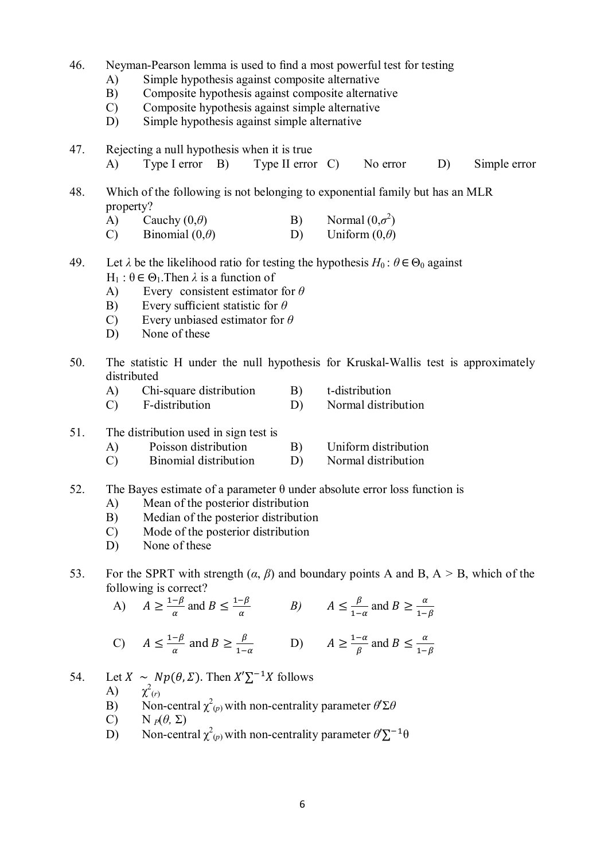- 46. Neyman-Pearson lemma is used to find a most powerful test for testing
	- A) Simple hypothesis against composite alternative
	- B) Composite hypothesis against composite alternative
	- C) Composite hypothesis against simple alternative
	- D) Simple hypothesis against simple alternative
- 47. Rejecting a null hypothesis when it is true
	- A) Type I error B) Type II error C) No error D) Simple error
- 48. Which of the following is not belonging to exponential family but has an MLR property?
	- A) Cauchy (0,*θ*) B) Normal (0,*σ*<sup>2</sup>)<br>C) Binomial (0,*θ*) D) Uniform (0,*θ*) 2 )
	- C) Binomial  $(0,\theta)$  D)
- 49. Let  $\lambda$  be the likelihood ratio for testing the hypothesis  $H_0: \theta \in \Theta_0$  against H<sub>1</sub> :  $θ ∈ Θ_1$ . Then  $λ$  is a function of
	- A) Every consistent estimator for *θ*
	- B) Every sufficient statistic for *θ*
	- C) Every unbiased estimator for *θ*
	- D) None of these
- 50. The statistic H under the null hypothesis for Kruskal-Wallis test is approximately distributed
	- A) Chi-square distribution B) t-distribution
	- C) F-distribution D) Normal distribution
- 51. The distribution used in sign test is
	- A) Poisson distribution B) Uniform distribution
	- C) Binomial distribution D) Normal distribution
- 52. The Bayes estimate of a parameter  $\theta$  under absolute error loss function is
	- A) Mean of the posterior distribution
	- B) Median of the posterior distribution
	- C) Mode of the posterior distribution
	- D) None of these
- 53. For the SPRT with strength (*α*, *β*) and boundary points A and B, A *>* B, which of the following is correct?

A)  $A \geq \frac{1-\beta}{a}$  $\frac{-\beta}{\alpha}$  and  $B \leq \frac{1-\beta}{\alpha}$  $\frac{-\beta}{\alpha}$  *B*)  $A \leq \frac{\beta}{1-\alpha}$  $\frac{\beta}{1-\alpha}$  and  $B \ge \frac{\alpha}{1-\alpha}$  $1-\beta$ 

C) 
$$
A \le \frac{1-\beta}{\alpha}
$$
 and  $B \ge \frac{\beta}{1-\alpha}$    
 D)  $A \ge \frac{1-\alpha}{\beta}$  and  $B \le \frac{\alpha}{1-\beta}$ 

- 54. Let  $X \sim Np(\theta, \Sigma)$ . Then  $X' \Sigma^{-1} X$  follows
	- A) 2 (*r*)
	- B) Non-central  $\chi^2_{(p)}$  with non-centrality parameter  $\theta' \Sigma \theta$
	- C) N  $_P(\theta, \Sigma)$
	- D) Non-central  $\chi^2_{(p)}$  with non-centrality parameter  $\theta' \Sigma^{-1} \theta$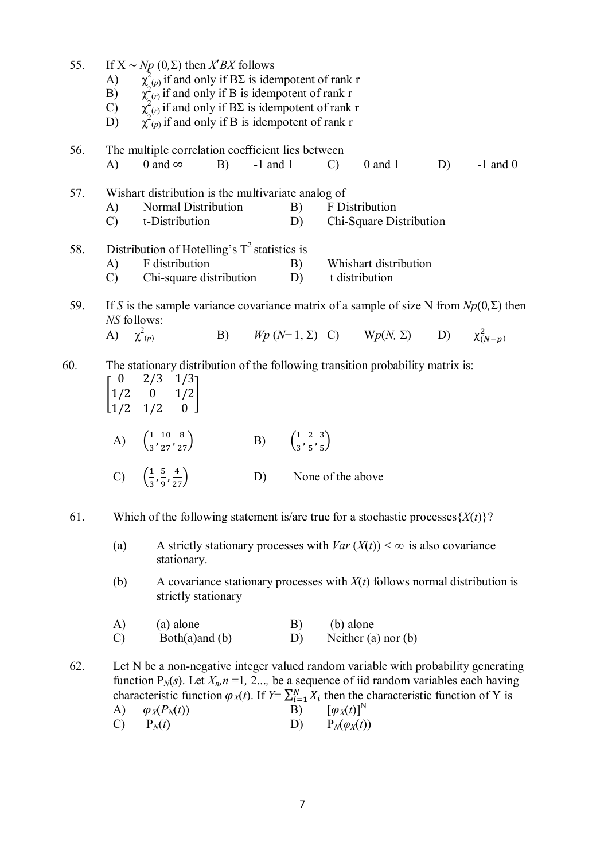| 55. | If $X \sim Np(0,\Sigma)$ then $X'BX$ follows<br>A) $\chi^2_{(p)}$ if and only if $B\Sigma$ is idempotent of rank r<br>B) $\chi^2_{(r)}$ if and only if B is idempotent of rank r<br>C) $\chi^2_{(r)}$ if and only if $B\Sigma$ is idempotent of rank r<br>D) $\chi^2_{$ |                                                                                                                                                                                                                                                                                                                                        |            |                                                         |                                           |                                                             |    |            |
|-----|-------------------------------------------------------------------------------------------------------------------------------------------------------------------------------------------------------------------------------------------------------------------------|----------------------------------------------------------------------------------------------------------------------------------------------------------------------------------------------------------------------------------------------------------------------------------------------------------------------------------------|------------|---------------------------------------------------------|-------------------------------------------|-------------------------------------------------------------|----|------------|
| 56. | A)                                                                                                                                                                                                                                                                      | The multiple correlation coefficient lies between<br>0 and $\infty$<br>B)                                                                                                                                                                                                                                                              | $-1$ and 1 |                                                         | $\mathcal{C}$                             | $0$ and $1$                                                 | D) | $-1$ and 0 |
| 57. | A)<br>$\mathcal{C}$                                                                                                                                                                                                                                                     | Wishart distribution is the multivariate analog of<br>Normal Distribution<br>t-Distribution                                                                                                                                                                                                                                            |            |                                                         |                                           | B) F Distribution<br>D) Chi-Square Distribution             |    |            |
| 58. | A)<br>$\mathcal{C}$                                                                                                                                                                                                                                                     | Distribution of Hotelling's $T^2$ statistics is<br>F distribution<br>Chi-square distribution D)                                                                                                                                                                                                                                        |            | B)                                                      |                                           | Whishart distribution<br>t distribution                     |    |            |
| 59. | NS follows:<br>A) $\chi^2(p)$                                                                                                                                                                                                                                           | If S is the sample variance covariance matrix of a sample of size N from $Np(0,\Sigma)$ then                                                                                                                                                                                                                                           |            |                                                         |                                           | B) $Wp(N-1, \Sigma)$ C) $Wp(N, \Sigma)$ D) $\chi^2_{(N-p)}$ |    |            |
| 60. |                                                                                                                                                                                                                                                                         | The stationary distribution of the following transition probability matrix is:<br>$\begin{bmatrix} 0 & 2/3 & 1/3 \\ 1/2 & 0 & 1/2 \\ 1/2 & 1/2 & 0 \end{bmatrix}$                                                                                                                                                                      |            |                                                         |                                           |                                                             |    |            |
|     |                                                                                                                                                                                                                                                                         | A) $\left(\frac{1}{3}, \frac{10}{27}, \frac{8}{27}\right)$                                                                                                                                                                                                                                                                             |            | B) $\left(\frac{1}{3}, \frac{2}{5}, \frac{3}{5}\right)$ |                                           |                                                             |    |            |
|     |                                                                                                                                                                                                                                                                         | C) $\left(\frac{1}{3}, \frac{5}{9}, \frac{4}{27}\right)$                                                                                                                                                                                                                                                                               | D)         |                                                         | None of the above                         |                                                             |    |            |
| 61. |                                                                                                                                                                                                                                                                         | Which of the following statement is/are true for a stochastic processes $\{X(t)\}$ ?                                                                                                                                                                                                                                                   |            |                                                         |                                           |                                                             |    |            |
|     | A strictly stationary processes with $Var(X(t)) < \infty$ is also covariance<br>(a)<br>stationary.                                                                                                                                                                      |                                                                                                                                                                                                                                                                                                                                        |            |                                                         |                                           |                                                             |    |            |
|     | (b)                                                                                                                                                                                                                                                                     | A covariance stationary processes with $X(t)$ follows normal distribution is<br>strictly stationary                                                                                                                                                                                                                                    |            |                                                         |                                           |                                                             |    |            |
|     | A)<br>$\mathcal{C}$                                                                                                                                                                                                                                                     | (a) alone<br>Both $(a)$ and $(b)$                                                                                                                                                                                                                                                                                                      |            | B)<br>D)                                                | (b) alone                                 | Neither $(a)$ nor $(b)$                                     |    |            |
| 62. | A)<br>$\mathcal{C}$                                                                                                                                                                                                                                                     | Let N be a non-negative integer valued random variable with probability generating<br>function $P_N(s)$ . Let $X_n$ , $n = 1, 2$ , be a sequence of iid random variables each having<br>characteristic function $\varphi_X(t)$ . If $Y = \sum_{i=1}^N X_i$ then the characteristic function of Y is<br>$\varphi_X(P_N(t))$<br>$P_N(t)$ |            | B)<br>D)                                                | $[\varphi_X(t)]^N$<br>$P_N(\varphi_X(t))$ |                                                             |    |            |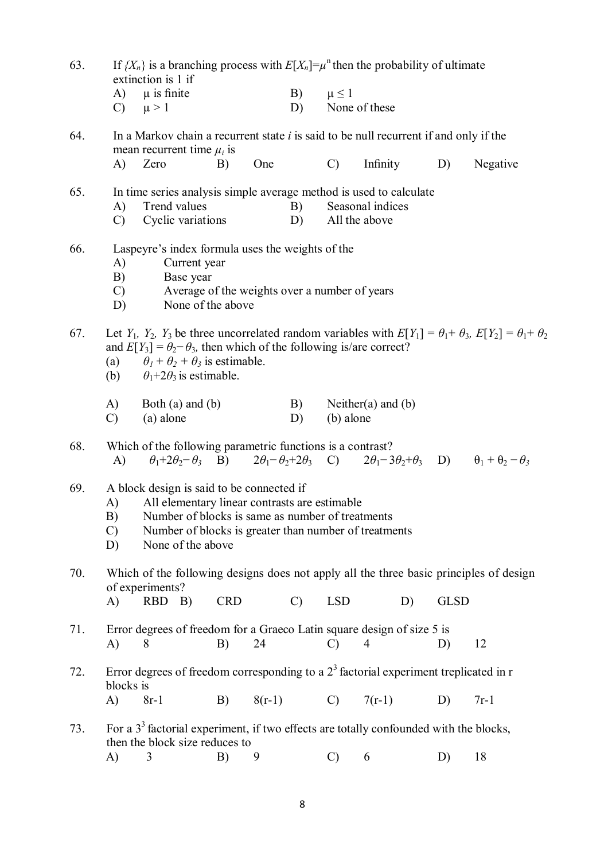| If $\{X_n\}$ is a branching process with $E[X_n]=\mu^n$ then the probability of ultimate<br>63.<br>extinction is 1 if |                                                                                                                                                                                                                                                              |                                                                                                                                                                                    |            |     |               |                 |                                   |             |                                                                                                                                       |
|-----------------------------------------------------------------------------------------------------------------------|--------------------------------------------------------------------------------------------------------------------------------------------------------------------------------------------------------------------------------------------------------------|------------------------------------------------------------------------------------------------------------------------------------------------------------------------------------|------------|-----|---------------|-----------------|-----------------------------------|-------------|---------------------------------------------------------------------------------------------------------------------------------------|
|                                                                                                                       | $\mathcal{C}$                                                                                                                                                                                                                                                | $A)$ $\mu$ is finite<br>$\mu > 1$                                                                                                                                                  |            |     | B)<br>D)      | $\mu \leq 1$    | None of these                     |             |                                                                                                                                       |
| 64.                                                                                                                   |                                                                                                                                                                                                                                                              | In a Markov chain a recurrent state $i$ is said to be null recurrent if and only if the<br>mean recurrent time $\mu_i$ is                                                          |            |     |               |                 |                                   |             |                                                                                                                                       |
|                                                                                                                       | A)                                                                                                                                                                                                                                                           | Zero                                                                                                                                                                               | B)         | One |               | $\mathcal{C}$   | Infinity                          | D)          | Negative                                                                                                                              |
| 65.                                                                                                                   | A)<br>$\mathcal{C}$                                                                                                                                                                                                                                          | In time series analysis simple average method is used to calculate<br>Trend values<br>Cyclic variations                                                                            |            |     | B)<br>D)      |                 | Seasonal indices<br>All the above |             |                                                                                                                                       |
| 66.                                                                                                                   | A)<br>B)<br>$\mathcal{C}$<br>D)                                                                                                                                                                                                                              | Laspeyre's index formula uses the weights of the<br>Current year<br>Base year<br>Average of the weights over a number of years<br>None of the above                                |            |     |               |                 |                                   |             |                                                                                                                                       |
| 67.                                                                                                                   |                                                                                                                                                                                                                                                              | and $E[Y_3] = \theta_2 - \theta_3$ , then which of the following is/are correct?<br>(a) $\theta_1 + \theta_2 + \theta_3$ is estimable.<br>(b) $\theta_1 + 2\theta_3$ is estimable. |            |     |               |                 |                                   |             | Let $Y_1$ , $Y_2$ , $Y_3$ be three uncorrelated random variables with $E[Y_1] = \theta_1 + \theta_3$ , $E[Y_2] = \theta_1 + \theta_2$ |
|                                                                                                                       | A)<br>$\mathcal{C}$                                                                                                                                                                                                                                          | Both $(a)$ and $(b)$<br>(a) alone                                                                                                                                                  |            |     | B)<br>D)      | (b) alone       | Neither(a) and $(b)$              |             |                                                                                                                                       |
| 68.                                                                                                                   | A)                                                                                                                                                                                                                                                           | Which of the following parametric functions is a contrast?                                                                                                                         |            |     |               |                 |                                   |             | $\theta_1+2\theta_2-\theta_3$ B) $2\theta_1-\theta_2+2\theta_3$ C) $2\theta_1-3\theta_2+\theta_3$ D) $\theta_1+\theta_2-\theta_3$     |
| 69.                                                                                                                   | A block design is said to be connected if<br>All elementary linear contrasts are estimable<br>A)<br>B) Number of blocks is same as number of treatments<br>Number of blocks is greater than number of treatments<br>$\mathcal{C}$<br>None of the above<br>D) |                                                                                                                                                                                    |            |     |               |                 |                                   |             |                                                                                                                                       |
| 70.                                                                                                                   | $\bf{A}$                                                                                                                                                                                                                                                     | Which of the following designs does not apply all the three basic principles of design<br>of experiments?<br>RBD B)                                                                | <b>CRD</b> |     | $\mathcal{C}$ | <b>LSD</b>      | D)                                | <b>GLSD</b> |                                                                                                                                       |
| 71.                                                                                                                   | A)                                                                                                                                                                                                                                                           | Error degrees of freedom for a Graeco Latin square design of size 5 is<br>8                                                                                                        | B)         | 24  |               | $\mathcal{C}$   | 4                                 | D)          | 12                                                                                                                                    |
| 72.                                                                                                                   | blocks is                                                                                                                                                                                                                                                    | Error degrees of freedom corresponding to a $23$ factorial experiment treplicated in r                                                                                             |            |     |               |                 |                                   |             |                                                                                                                                       |
|                                                                                                                       | $\mathbf{A}$                                                                                                                                                                                                                                                 | $8r-1$                                                                                                                                                                             | B)         |     | $8(r-1)$      | $\mathcal{C}$ ) | $7(r-1)$                          | D)          | $7r-1$                                                                                                                                |
| 73.                                                                                                                   |                                                                                                                                                                                                                                                              | For a $33$ factorial experiment, if two effects are totally confounded with the blocks,<br>then the block size reduces to                                                          |            |     |               |                 |                                   |             |                                                                                                                                       |
|                                                                                                                       | A)                                                                                                                                                                                                                                                           | 3                                                                                                                                                                                  | B)         | 9   |               | $\mathcal{C}$   | 6                                 | D)          | 18                                                                                                                                    |